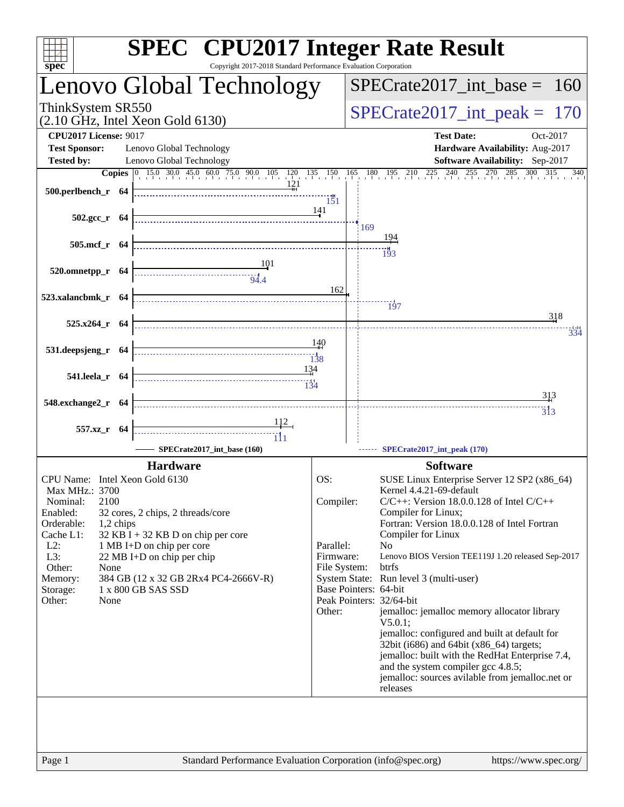| $spec^*$                                  | <b>SPEC<sup>®</sup></b> CPU2017 Integer Rate Result<br>Copyright 2017-2018 Standard Performance Evaluation Corporation                                                                                                                                                                                                                                                                                                                                        |                                 |                                                                                                                                                                                     |  |  |  |
|-------------------------------------------|---------------------------------------------------------------------------------------------------------------------------------------------------------------------------------------------------------------------------------------------------------------------------------------------------------------------------------------------------------------------------------------------------------------------------------------------------------------|---------------------------------|-------------------------------------------------------------------------------------------------------------------------------------------------------------------------------------|--|--|--|
|                                           | Lenovo Global Technology                                                                                                                                                                                                                                                                                                                                                                                                                                      | $SPECrate2017\_int\_base = 160$ |                                                                                                                                                                                     |  |  |  |
| ThinkSystem SR550                         | $(2.10 \text{ GHz}, \text{Intel Xeon Gold } 6130)$                                                                                                                                                                                                                                                                                                                                                                                                            | $SPECrate2017\_int\_peak = 170$ |                                                                                                                                                                                     |  |  |  |
| <b>CPU2017 License: 9017</b>              |                                                                                                                                                                                                                                                                                                                                                                                                                                                               |                                 | <b>Test Date:</b><br>Oct-2017                                                                                                                                                       |  |  |  |
| <b>Test Sponsor:</b><br><b>Tested by:</b> | Lenovo Global Technology<br>Lenovo Global Technology                                                                                                                                                                                                                                                                                                                                                                                                          |                                 | Hardware Availability: Aug-2017<br>Software Availability: Sep-2017                                                                                                                  |  |  |  |
|                                           |                                                                                                                                                                                                                                                                                                                                                                                                                                                               |                                 | <b>Copies</b> $\begin{bmatrix} 0 & 15.0 & 30.0 & 45.0 & 60.0 & 75.0 & 90.0 & 105 & 120 & 135 & 150 & 165 & 180 & 195 & 210 & 225 & 240 & 255 & 270 & 285 & 300 & 315 \end{bmatrix}$ |  |  |  |
| 500.perlbench_r 64                        |                                                                                                                                                                                                                                                                                                                                                                                                                                                               | 151                             |                                                                                                                                                                                     |  |  |  |
| $502.\text{gcc}_r$ 64                     |                                                                                                                                                                                                                                                                                                                                                                                                                                                               | 141                             |                                                                                                                                                                                     |  |  |  |
|                                           |                                                                                                                                                                                                                                                                                                                                                                                                                                                               |                                 | 169<br>194                                                                                                                                                                          |  |  |  |
| 505.mcf r 64                              |                                                                                                                                                                                                                                                                                                                                                                                                                                                               |                                 | 193                                                                                                                                                                                 |  |  |  |
| $520.0$ mnetpp_r 64                       | $\begin{array}{c}\n\overbrace{\hspace{1.5cm}}\n\overbrace{\hspace{1.5cm}}\n\overbrace{\hspace{1.5cm}}\n\overbrace{\hspace{1.5cm}}\n\overbrace{\hspace{1.5cm}}\n\overbrace{\hspace{1.5cm}}\n\overbrace{\hspace{1.5cm}}\n\overbrace{\hspace{1.5cm}}\n\overbrace{\hspace{1.5cm}}\n\overbrace{\hspace{1.5cm}}\n\overbrace{\hspace{1.5cm}}\n\overbrace{\hspace{1.5cm}}\n\overbrace{\hspace{1.5cm}}\n\overbrace{\hspace{1.5cm}}\n\overbrace{\hspace{1.5cm}}\n\over$ |                                 |                                                                                                                                                                                     |  |  |  |
|                                           |                                                                                                                                                                                                                                                                                                                                                                                                                                                               | 162                             |                                                                                                                                                                                     |  |  |  |
| 523.xalancbmk r 64                        |                                                                                                                                                                                                                                                                                                                                                                                                                                                               |                                 | $\frac{13}{7}$                                                                                                                                                                      |  |  |  |
| 525.x264_r 64                             |                                                                                                                                                                                                                                                                                                                                                                                                                                                               |                                 | 318                                                                                                                                                                                 |  |  |  |
|                                           |                                                                                                                                                                                                                                                                                                                                                                                                                                                               | 140                             |                                                                                                                                                                                     |  |  |  |
| 531.deepsjeng_r 64                        |                                                                                                                                                                                                                                                                                                                                                                                                                                                               |                                 |                                                                                                                                                                                     |  |  |  |
| 541.leela_r 64                            | 134                                                                                                                                                                                                                                                                                                                                                                                                                                                           |                                 |                                                                                                                                                                                     |  |  |  |
|                                           |                                                                                                                                                                                                                                                                                                                                                                                                                                                               |                                 | 313                                                                                                                                                                                 |  |  |  |
| 548.exchange2_r 64                        |                                                                                                                                                                                                                                                                                                                                                                                                                                                               |                                 | $\overline{3}$ <sup>1</sup> 3                                                                                                                                                       |  |  |  |
| 557.xz_r 64                               |                                                                                                                                                                                                                                                                                                                                                                                                                                                               |                                 |                                                                                                                                                                                     |  |  |  |
|                                           | SPECrate2017_int_base (160)                                                                                                                                                                                                                                                                                                                                                                                                                                   |                                 | SPECrate2017_int_peak (170)                                                                                                                                                         |  |  |  |
|                                           | <b>Hardware</b>                                                                                                                                                                                                                                                                                                                                                                                                                                               |                                 | <b>Software</b>                                                                                                                                                                     |  |  |  |
| CPU Name: Intel Xeon Gold 6130            |                                                                                                                                                                                                                                                                                                                                                                                                                                                               | OS:                             | SUSE Linux Enterprise Server 12 SP2 (x86_64)                                                                                                                                        |  |  |  |
| Max MHz.: 3700<br>2100<br>Nominal:        |                                                                                                                                                                                                                                                                                                                                                                                                                                                               | Compiler:                       | Kernel 4.4.21-69-default<br>$C/C++$ : Version 18.0.0.128 of Intel $C/C++$                                                                                                           |  |  |  |
| Enabled:                                  | 32 cores, 2 chips, 2 threads/core                                                                                                                                                                                                                                                                                                                                                                                                                             |                                 | Compiler for Linux;                                                                                                                                                                 |  |  |  |
| Orderable:<br>1,2 chips<br>Cache L1:      | $32$ KB I + 32 KB D on chip per core                                                                                                                                                                                                                                                                                                                                                                                                                          |                                 | Fortran: Version 18.0.0.128 of Intel Fortran<br>Compiler for Linux                                                                                                                  |  |  |  |
| $L2$ :                                    | 1 MB I+D on chip per core                                                                                                                                                                                                                                                                                                                                                                                                                                     | Parallel:                       | N <sub>o</sub>                                                                                                                                                                      |  |  |  |
| L3:                                       | 22 MB I+D on chip per chip                                                                                                                                                                                                                                                                                                                                                                                                                                    | Firmware:                       | Lenovo BIOS Version TEE119J 1.20 released Sep-2017                                                                                                                                  |  |  |  |
| Other:<br>None<br>Memory:                 | 384 GB (12 x 32 GB 2Rx4 PC4-2666V-R)                                                                                                                                                                                                                                                                                                                                                                                                                          | File System:                    | btrfs<br>System State: Run level 3 (multi-user)                                                                                                                                     |  |  |  |
| Storage:                                  | 1 x 800 GB SAS SSD                                                                                                                                                                                                                                                                                                                                                                                                                                            |                                 | Base Pointers: 64-bit                                                                                                                                                               |  |  |  |
| Other:<br>None                            |                                                                                                                                                                                                                                                                                                                                                                                                                                                               |                                 | Peak Pointers: 32/64-bit                                                                                                                                                            |  |  |  |
|                                           |                                                                                                                                                                                                                                                                                                                                                                                                                                                               | Other:                          | jemalloc: jemalloc memory allocator library<br>V5.0.1                                                                                                                               |  |  |  |
|                                           |                                                                                                                                                                                                                                                                                                                                                                                                                                                               |                                 | jemalloc: configured and built at default for                                                                                                                                       |  |  |  |
|                                           |                                                                                                                                                                                                                                                                                                                                                                                                                                                               |                                 | 32bit (i686) and 64bit (x86_64) targets;<br>jemalloc: built with the RedHat Enterprise 7.4,                                                                                         |  |  |  |
|                                           |                                                                                                                                                                                                                                                                                                                                                                                                                                                               |                                 | and the system compiler gcc 4.8.5;                                                                                                                                                  |  |  |  |
|                                           |                                                                                                                                                                                                                                                                                                                                                                                                                                                               |                                 | jemalloc: sources avilable from jemalloc.net or                                                                                                                                     |  |  |  |
|                                           |                                                                                                                                                                                                                                                                                                                                                                                                                                                               |                                 | releases                                                                                                                                                                            |  |  |  |
|                                           |                                                                                                                                                                                                                                                                                                                                                                                                                                                               |                                 |                                                                                                                                                                                     |  |  |  |
|                                           |                                                                                                                                                                                                                                                                                                                                                                                                                                                               |                                 |                                                                                                                                                                                     |  |  |  |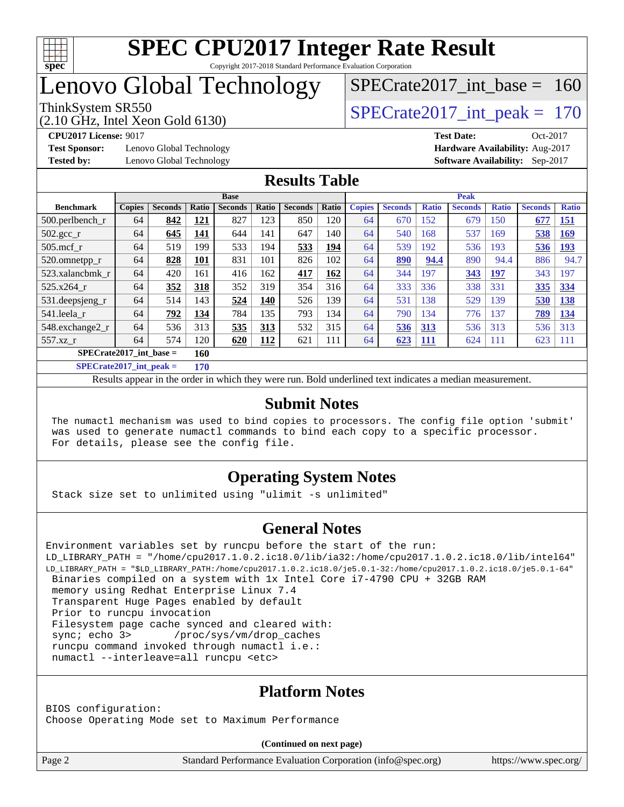

### Lenovo Global Technology

### ThinkSystem SR550<br>  $\angle Q$  10 GHz, Intel Year Gold 6130 [SPECrate2017\\_int\\_base =](http://www.spec.org/auto/cpu2017/Docs/result-fields.html#SPECrate2017intbase) 160

(2.10 GHz, Intel Xeon Gold 6130)

**[Test Sponsor:](http://www.spec.org/auto/cpu2017/Docs/result-fields.html#TestSponsor)** Lenovo Global Technology **[Hardware Availability:](http://www.spec.org/auto/cpu2017/Docs/result-fields.html#HardwareAvailability)** Aug-2017 **[Tested by:](http://www.spec.org/auto/cpu2017/Docs/result-fields.html#Testedby)** Lenovo Global Technology **[Software Availability:](http://www.spec.org/auto/cpu2017/Docs/result-fields.html#SoftwareAvailability)** Sep-2017

**[CPU2017 License:](http://www.spec.org/auto/cpu2017/Docs/result-fields.html#CPU2017License)** 9017 **[Test Date:](http://www.spec.org/auto/cpu2017/Docs/result-fields.html#TestDate)** Oct-2017

#### **[Results Table](http://www.spec.org/auto/cpu2017/Docs/result-fields.html#ResultsTable)**

|                           | <b>Base</b>   |                |                         |                | <b>Peak</b> |                |            |               |                |                 |                |              |                |              |
|---------------------------|---------------|----------------|-------------------------|----------------|-------------|----------------|------------|---------------|----------------|-----------------|----------------|--------------|----------------|--------------|
| <b>Benchmark</b>          | <b>Copies</b> | <b>Seconds</b> | <b>Ratio</b>            | <b>Seconds</b> | Ratio       | <b>Seconds</b> | Ratio      | <b>Copies</b> | <b>Seconds</b> | <b>Ratio</b>    | <b>Seconds</b> | <b>Ratio</b> | <b>Seconds</b> | <b>Ratio</b> |
| $500.$ perlbench_r        | 64            | 842            | <u> 121</u>             | 827            | 123         | 850            | 120        | 64            | 670            | 152             | 679            | 150          | 677            | <u>151</u>   |
| $502.\text{sec}$          | 64            | 645            | <u> 141</u>             | 644            | 141         | 647            | 140        | 64            | 540            | 168             | 537            | 169          | 538            | <u>169</u>   |
| $505$ .mcf r              | 64            | 519            | 199                     | 533            | 194         | 533            | <u>194</u> | 64            | 539            | 192             | 536            | 193          | 536            | <u>193</u>   |
| 520.omnetpp_r             | 64            | 828            | <u>101</u>              | 831            | 101         | 826            | 102        | 64            | 890            | 94.4            | 890            | 94.4         | 886            | 94.7         |
| 523.xalancbmk r           | 64            | 420            | 161                     | 416            | 162         | <u>417</u>     | <u>162</u> | 64            | 344            | 197             | 343            | <u>197</u>   | 343            | 197          |
| 525.x264 r                | 64            | 352            | 318                     | 352            | 319         | 354            | 316        | 64            | 333            | 336             | 338            | 331          | 335            | 334          |
| 531.deepsjeng_r           | 64            | 514            | 143                     | 524            | 140         | 526            | 139        | 64            | 531            | 138             | 529            | 139          | 530            | <b>138</b>   |
| 541.leela_r               | 64            | 792            | 134                     | 784            | 135         | 793            | 134        | 64            | 790            | $\overline{34}$ | 776            | 137          | 789            | 134          |
| 548.exchange2_r           | 64            | 536            | 313                     | 535            | 313         | 532            | 315        | 64            | 536            | <u>313</u>      | 536            | 313          | 536            | 313          |
| 557.xz r                  | 64            | 574            | 120                     | 620            | <u> 112</u> | 621            | 111        | 64            | 623            | <b>111</b>      | 624            | 111          | 623            | 111          |
| $SPECrate2017$ int base = |               |                |                         |                |             |                |            |               |                |                 |                |              |                |              |
|                           |               |                | <b><i><b>HA</b></i></b> |                |             |                |            |               |                |                 |                |              |                |              |

**[SPECrate2017\\_int\\_peak =](http://www.spec.org/auto/cpu2017/Docs/result-fields.html#SPECrate2017intpeak) 170**

Results appear in the [order in which they were run.](http://www.spec.org/auto/cpu2017/Docs/result-fields.html#RunOrder) Bold underlined text [indicates a median measurement.](http://www.spec.org/auto/cpu2017/Docs/result-fields.html#Median)

#### **[Submit Notes](http://www.spec.org/auto/cpu2017/Docs/result-fields.html#SubmitNotes)**

 The numactl mechanism was used to bind copies to processors. The config file option 'submit' was used to generate numactl commands to bind each copy to a specific processor. For details, please see the config file.

#### **[Operating System Notes](http://www.spec.org/auto/cpu2017/Docs/result-fields.html#OperatingSystemNotes)**

Stack size set to unlimited using "ulimit -s unlimited"

#### **[General Notes](http://www.spec.org/auto/cpu2017/Docs/result-fields.html#GeneralNotes)**

```
Environment variables set by runcpu before the start of the run:
LD_LIBRARY_PATH = "/home/cpu2017.1.0.2.ic18.0/lib/ia32:/home/cpu2017.1.0.2.ic18.0/lib/intel64"
LD_LIBRARY_PATH = "$LD_LIBRARY_PATH:/home/cpu2017.1.0.2.ic18.0/je5.0.1-32:/home/cpu2017.1.0.2.ic18.0/je5.0.1-64"
  Binaries compiled on a system with 1x Intel Core i7-4790 CPU + 32GB RAM
  memory using Redhat Enterprise Linux 7.4
  Transparent Huge Pages enabled by default
  Prior to runcpu invocation
  Filesystem page cache synced and cleared with:
 sync; echo 3> /proc/sys/vm/drop_caches
  runcpu command invoked through numactl i.e.:
  numactl --interleave=all runcpu <etc>
```
#### **[Platform Notes](http://www.spec.org/auto/cpu2017/Docs/result-fields.html#PlatformNotes)**

BIOS configuration: Choose Operating Mode set to Maximum Performance

**(Continued on next page)**

Page 2 Standard Performance Evaluation Corporation [\(info@spec.org\)](mailto:info@spec.org) <https://www.spec.org/>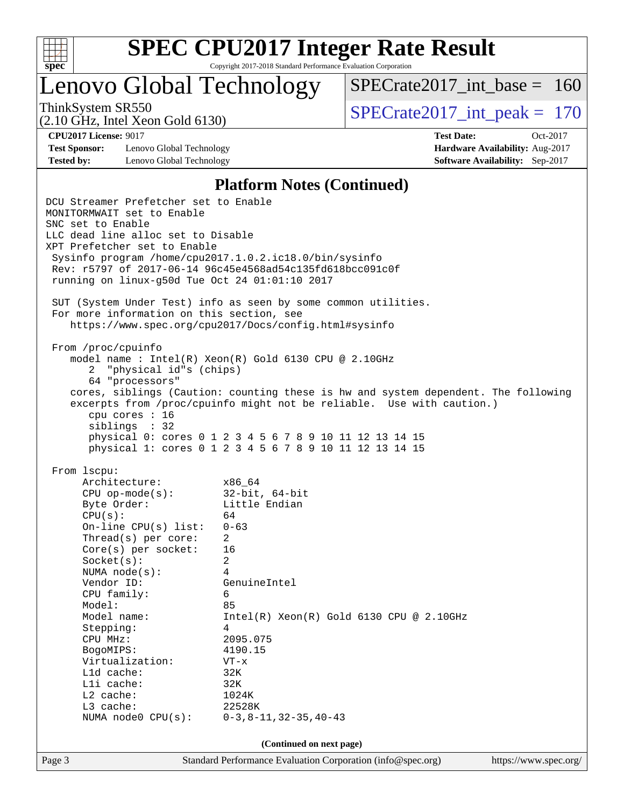

# **[SPEC CPU2017 Integer Rate Result](http://www.spec.org/auto/cpu2017/Docs/result-fields.html#SPECCPU2017IntegerRateResult)**

Copyright 2017-2018 Standard Performance Evaluation Corporation

Lenovo Global Technology

 $SPECrate2017\_int\_base = 160$ 

(2.10 GHz, Intel Xeon Gold 6130)

ThinkSystem SR550<br>  $\angle Q$  10 GHz, Intel Year Gold 6130

**[Test Sponsor:](http://www.spec.org/auto/cpu2017/Docs/result-fields.html#TestSponsor)** Lenovo Global Technology **[Hardware Availability:](http://www.spec.org/auto/cpu2017/Docs/result-fields.html#HardwareAvailability)** Aug-2017 **[Tested by:](http://www.spec.org/auto/cpu2017/Docs/result-fields.html#Testedby)** Lenovo Global Technology **[Software Availability:](http://www.spec.org/auto/cpu2017/Docs/result-fields.html#SoftwareAvailability)** Sep-2017

**[CPU2017 License:](http://www.spec.org/auto/cpu2017/Docs/result-fields.html#CPU2017License)** 9017 **[Test Date:](http://www.spec.org/auto/cpu2017/Docs/result-fields.html#TestDate)** Oct-2017

#### **[Platform Notes \(Continued\)](http://www.spec.org/auto/cpu2017/Docs/result-fields.html#PlatformNotes)**

Page 3 Standard Performance Evaluation Corporation [\(info@spec.org\)](mailto:info@spec.org) <https://www.spec.org/> DCU Streamer Prefetcher set to Enable MONITORMWAIT set to Enable SNC set to Enable LLC dead line alloc set to Disable XPT Prefetcher set to Enable Sysinfo program /home/cpu2017.1.0.2.ic18.0/bin/sysinfo Rev: r5797 of 2017-06-14 96c45e4568ad54c135fd618bcc091c0f running on linux-g50d Tue Oct 24 01:01:10 2017 SUT (System Under Test) info as seen by some common utilities. For more information on this section, see <https://www.spec.org/cpu2017/Docs/config.html#sysinfo> From /proc/cpuinfo model name : Intel(R) Xeon(R) Gold 6130 CPU @ 2.10GHz 2 "physical id"s (chips) 64 "processors" cores, siblings (Caution: counting these is hw and system dependent. The following excerpts from /proc/cpuinfo might not be reliable. Use with caution.) cpu cores : 16 siblings : 32 physical 0: cores 0 1 2 3 4 5 6 7 8 9 10 11 12 13 14 15 physical 1: cores 0 1 2 3 4 5 6 7 8 9 10 11 12 13 14 15 From lscpu: Architecture: x86\_64 CPU op-mode(s): 32-bit, 64-bit Byte Order: Little Endian  $CPU(s):$  64 On-line CPU(s) list: 0-63 Thread(s) per core: 2 Core(s) per socket: 16 Socket(s): 2 NUMA node(s): 4 Vendor ID: GenuineIntel CPU family: 6 Model: 85<br>Model name: 1n  $Intel(R)$  Xeon(R) Gold 6130 CPU @ 2.10GHz Stepping: 4 CPU MHz: 2095.075 BogoMIPS: 4190.15 Virtualization: VT-x L1d cache: 32K L1i cache: 32K L2 cache: 1024K L3 cache: 22528K NUMA node0 CPU(s): 0-3,8-11,32-35,40-43 **(Continued on next page)**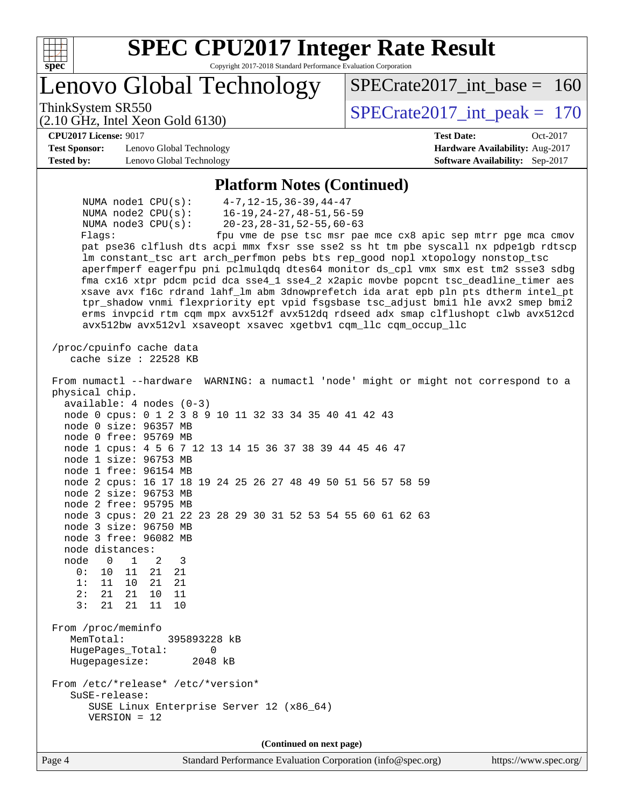

# **[SPEC CPU2017 Integer Rate Result](http://www.spec.org/auto/cpu2017/Docs/result-fields.html#SPECCPU2017IntegerRateResult)**

Copyright 2017-2018 Standard Performance Evaluation Corporation

Lenovo Global Technology

ThinkSystem SR550<br>  $\angle Q$  10 GHz, Intel Year Gold 6130

 $SPECrate2017\_int\_base = 160$ 

#### **[CPU2017 License:](http://www.spec.org/auto/cpu2017/Docs/result-fields.html#CPU2017License)** 9017 **[Test Date:](http://www.spec.org/auto/cpu2017/Docs/result-fields.html#TestDate)** Oct-2017

**[Test Sponsor:](http://www.spec.org/auto/cpu2017/Docs/result-fields.html#TestSponsor)** Lenovo Global Technology **[Hardware Availability:](http://www.spec.org/auto/cpu2017/Docs/result-fields.html#HardwareAvailability)** Aug-2017 **[Tested by:](http://www.spec.org/auto/cpu2017/Docs/result-fields.html#Testedby)** Lenovo Global Technology **[Software Availability:](http://www.spec.org/auto/cpu2017/Docs/result-fields.html#SoftwareAvailability)** Sep-2017

(2.10 GHz, Intel Xeon Gold 6130)

#### **[Platform Notes \(Continued\)](http://www.spec.org/auto/cpu2017/Docs/result-fields.html#PlatformNotes)**

 NUMA node1 CPU(s): 4-7,12-15,36-39,44-47 NUMA node2 CPU(s): 16-19,24-27,48-51,56-59 NUMA node3 CPU(s): 20-23,28-31,52-55,60-63 Flags: fpu vme de pse tsc msr pae mce cx8 apic sep mtrr pge mca cmov pat pse36 clflush dts acpi mmx fxsr sse sse2 ss ht tm pbe syscall nx pdpe1gb rdtscp lm constant\_tsc art arch\_perfmon pebs bts rep\_good nopl xtopology nonstop\_tsc aperfmperf eagerfpu pni pclmulqdq dtes64 monitor ds\_cpl vmx smx est tm2 ssse3 sdbg fma cx16 xtpr pdcm pcid dca sse4\_1 sse4\_2 x2apic movbe popcnt tsc\_deadline\_timer aes xsave avx f16c rdrand lahf\_lm abm 3dnowprefetch ida arat epb pln pts dtherm intel\_pt tpr\_shadow vnmi flexpriority ept vpid fsgsbase tsc\_adjust bmi1 hle avx2 smep bmi2 erms invpcid rtm cqm mpx avx512f avx512dq rdseed adx smap clflushopt clwb avx512cd avx512bw avx512vl xsaveopt xsavec xgetbv1 cqm\_llc cqm\_occup\_llc /proc/cpuinfo cache data cache size : 22528 KB From numactl --hardware WARNING: a numactl 'node' might or might not correspond to a physical chip. available: 4 nodes (0-3) node 0 cpus: 0 1 2 3 8 9 10 11 32 33 34 35 40 41 42 43 node 0 size: 96357 MB node 0 free: 95769 MB node 1 cpus: 4 5 6 7 12 13 14 15 36 37 38 39 44 45 46 47 node 1 size: 96753 MB node 1 free: 96154 MB node 2 cpus: 16 17 18 19 24 25 26 27 48 49 50 51 56 57 58 59 node 2 size: 96753 MB node 2 free: 95795 MB node 3 cpus: 20 21 22 23 28 29 30 31 52 53 54 55 60 61 62 63 node 3 size: 96750 MB node 3 free: 96082 MB node distances: node 0 1 2 3 0: 10 11 21 21 1: 11 10 21 21 2: 21 21 10 11 3: 21 21 11 10 From /proc/meminfo MemTotal: 395893228 kB HugePages\_Total: 0 Hugepagesize: 2048 kB From /etc/\*release\* /etc/\*version\* SuSE-release: SUSE Linux Enterprise Server 12 (x86\_64) VERSION = 12 **(Continued on next page)**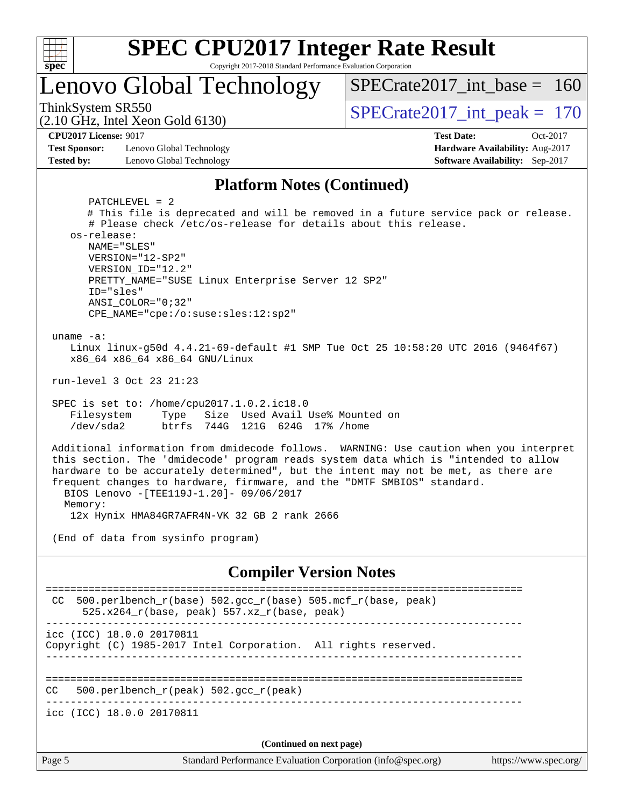

### Lenovo Global Technology

ThinkSystem SR550<br>  $SPECTate2017$ \_int\_peak = 170

[SPECrate2017\\_int\\_base =](http://www.spec.org/auto/cpu2017/Docs/result-fields.html#SPECrate2017intbase) 160

(2.10 GHz, Intel Xeon Gold 6130)

**[Test Sponsor:](http://www.spec.org/auto/cpu2017/Docs/result-fields.html#TestSponsor)** Lenovo Global Technology **[Hardware Availability:](http://www.spec.org/auto/cpu2017/Docs/result-fields.html#HardwareAvailability)** Aug-2017 **[Tested by:](http://www.spec.org/auto/cpu2017/Docs/result-fields.html#Testedby)** Lenovo Global Technology **[Software Availability:](http://www.spec.org/auto/cpu2017/Docs/result-fields.html#SoftwareAvailability)** Sep-2017

**[CPU2017 License:](http://www.spec.org/auto/cpu2017/Docs/result-fields.html#CPU2017License)** 9017 **[Test Date:](http://www.spec.org/auto/cpu2017/Docs/result-fields.html#TestDate)** Oct-2017

#### **[Platform Notes \(Continued\)](http://www.spec.org/auto/cpu2017/Docs/result-fields.html#PlatformNotes)**

Page 5 Standard Performance Evaluation Corporation [\(info@spec.org\)](mailto:info@spec.org) <https://www.spec.org/> PATCHLEVEL = 2 # This file is deprecated and will be removed in a future service pack or release. # Please check /etc/os-release for details about this release. os-release: NAME="SLES" VERSION="12-SP2" VERSION\_ID="12.2" PRETTY\_NAME="SUSE Linux Enterprise Server 12 SP2" ID="sles" ANSI\_COLOR="0;32" CPE\_NAME="cpe:/o:suse:sles:12:sp2" uname -a: Linux linux-g50d 4.4.21-69-default #1 SMP Tue Oct 25 10:58:20 UTC 2016 (9464f67) x86\_64 x86\_64 x86\_64 GNU/Linux run-level 3 Oct 23 21:23 SPEC is set to: /home/cpu2017.1.0.2.ic18.0 Filesystem Type Size Used Avail Use% Mounted on /dev/sda2 btrfs 744G 121G 624G 17% /home Additional information from dmidecode follows. WARNING: Use caution when you interpret this section. The 'dmidecode' program reads system data which is "intended to allow hardware to be accurately determined", but the intent may not be met, as there are frequent changes to hardware, firmware, and the "DMTF SMBIOS" standard. BIOS Lenovo -[TEE119J-1.20]- 09/06/2017 Memory: 12x Hynix HMA84GR7AFR4N-VK 32 GB 2 rank 2666 (End of data from sysinfo program) **[Compiler Version Notes](http://www.spec.org/auto/cpu2017/Docs/result-fields.html#CompilerVersionNotes)** ============================================================================== CC 500.perlbench\_r(base)  $502.\text{gcc}_r(\text{base})$  505.mcf\_r(base, peak) 525.x264 $r(base, peak)$  557.xz $r(base, peak)$ ----------------------------------------------------------------------------- icc (ICC) 18.0.0 20170811 Copyright (C) 1985-2017 Intel Corporation. All rights reserved. ------------------------------------------------------------------------------ ============================================================================== CC 500.perlbench\_r(peak) 502.gcc\_r(peak) ----------------------------------------------------------------------------- icc (ICC) 18.0.0 20170811 **(Continued on next page)**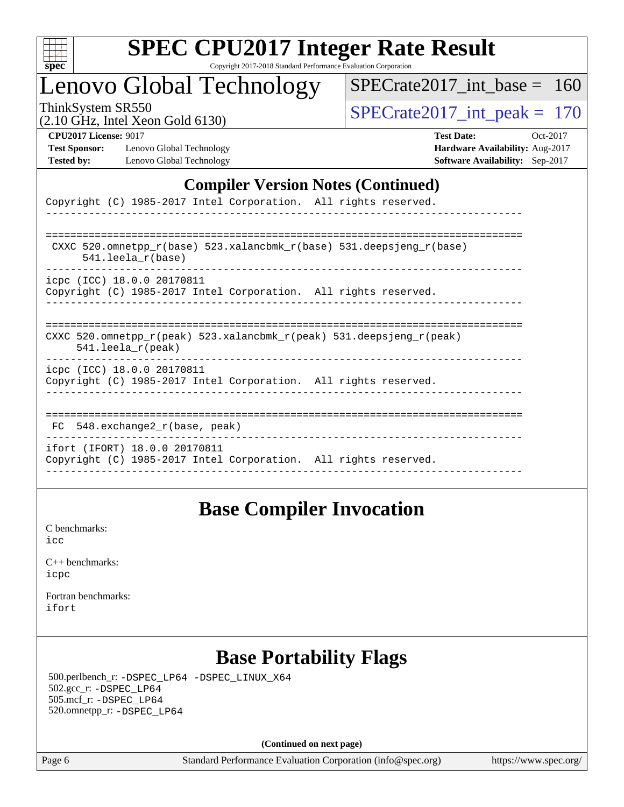

### Lenovo Global Technology

ThinkSystem SR550<br>(2.10 GHz, Intel Xeon Gold 6130)  $\begin{array}{r} | \text{SPECrate2017\_int\_peak} = 170 \end{array}$ [SPECrate2017\\_int\\_base =](http://www.spec.org/auto/cpu2017/Docs/result-fields.html#SPECrate2017intbase) 160

(2.10 GHz, Intel Xeon Gold 6130)

**[Test Sponsor:](http://www.spec.org/auto/cpu2017/Docs/result-fields.html#TestSponsor)** Lenovo Global Technology **[Hardware Availability:](http://www.spec.org/auto/cpu2017/Docs/result-fields.html#HardwareAvailability)** Aug-2017 **[Tested by:](http://www.spec.org/auto/cpu2017/Docs/result-fields.html#Testedby)** Lenovo Global Technology **[Software Availability:](http://www.spec.org/auto/cpu2017/Docs/result-fields.html#SoftwareAvailability)** Sep-2017

**[CPU2017 License:](http://www.spec.org/auto/cpu2017/Docs/result-fields.html#CPU2017License)** 9017 **[Test Date:](http://www.spec.org/auto/cpu2017/Docs/result-fields.html#TestDate)** Oct-2017

#### **[Compiler Version Notes \(Continued\)](http://www.spec.org/auto/cpu2017/Docs/result-fields.html#CompilerVersionNotes)**

| Copyright (C) 1985-2017 Intel Corporation. All rights reserved.                                                         |
|-------------------------------------------------------------------------------------------------------------------------|
|                                                                                                                         |
| CXXC 520.omnetpp $r(base)$ 523.xalancbmk $r(base)$ 531.deepsjeng $r(base)$                                              |
| $541.$ leela r(base)                                                                                                    |
| icpc (ICC) 18.0.0 20170811                                                                                              |
| Copyright (C) 1985-2017 Intel Corporation. All rights reserved.                                                         |
|                                                                                                                         |
| CXXC 520.omnetpp $r(\text{peak})$ 523.xalancbmk $r(\text{peak})$ 531.deepsjeng $r(\text{peak})$<br>$541.$ leela r(peak) |
| icpc (ICC) 18.0.0 20170811<br>Copyright (C) 1985-2017 Intel Corporation. All rights reserved.                           |
|                                                                                                                         |
| 548.exchange2 r(base, peak)<br>FC.                                                                                      |
| ifort (IFORT) 18.0.0 20170811<br>Copyright (C) 1985-2017 Intel Corporation. All rights reserved.                        |
|                                                                                                                         |

### **[Base Compiler Invocation](http://www.spec.org/auto/cpu2017/Docs/result-fields.html#BaseCompilerInvocation)**

[C benchmarks](http://www.spec.org/auto/cpu2017/Docs/result-fields.html#Cbenchmarks): [icc](http://www.spec.org/cpu2017/results/res2017q4/cpu2017-20171128-01317.flags.html#user_CCbase_intel_icc_18.0_66fc1ee009f7361af1fbd72ca7dcefbb700085f36577c54f309893dd4ec40d12360134090235512931783d35fd58c0460139e722d5067c5574d8eaf2b3e37e92)

| $C_{++}$ benchmarks: |
|----------------------|
| icpc                 |

[Fortran benchmarks](http://www.spec.org/auto/cpu2017/Docs/result-fields.html#Fortranbenchmarks): [ifort](http://www.spec.org/cpu2017/results/res2017q4/cpu2017-20171128-01317.flags.html#user_FCbase_intel_ifort_18.0_8111460550e3ca792625aed983ce982f94888b8b503583aa7ba2b8303487b4d8a21a13e7191a45c5fd58ff318f48f9492884d4413fa793fd88dd292cad7027ca)

### **[Base Portability Flags](http://www.spec.org/auto/cpu2017/Docs/result-fields.html#BasePortabilityFlags)**

 500.perlbench\_r: [-DSPEC\\_LP64](http://www.spec.org/cpu2017/results/res2017q4/cpu2017-20171128-01317.flags.html#b500.perlbench_r_basePORTABILITY_DSPEC_LP64) [-DSPEC\\_LINUX\\_X64](http://www.spec.org/cpu2017/results/res2017q4/cpu2017-20171128-01317.flags.html#b500.perlbench_r_baseCPORTABILITY_DSPEC_LINUX_X64) 502.gcc\_r: [-DSPEC\\_LP64](http://www.spec.org/cpu2017/results/res2017q4/cpu2017-20171128-01317.flags.html#suite_basePORTABILITY502_gcc_r_DSPEC_LP64) 505.mcf\_r: [-DSPEC\\_LP64](http://www.spec.org/cpu2017/results/res2017q4/cpu2017-20171128-01317.flags.html#suite_basePORTABILITY505_mcf_r_DSPEC_LP64) 520.omnetpp\_r: [-DSPEC\\_LP64](http://www.spec.org/cpu2017/results/res2017q4/cpu2017-20171128-01317.flags.html#suite_basePORTABILITY520_omnetpp_r_DSPEC_LP64)

**(Continued on next page)**

Page 6 Standard Performance Evaluation Corporation [\(info@spec.org\)](mailto:info@spec.org) <https://www.spec.org/>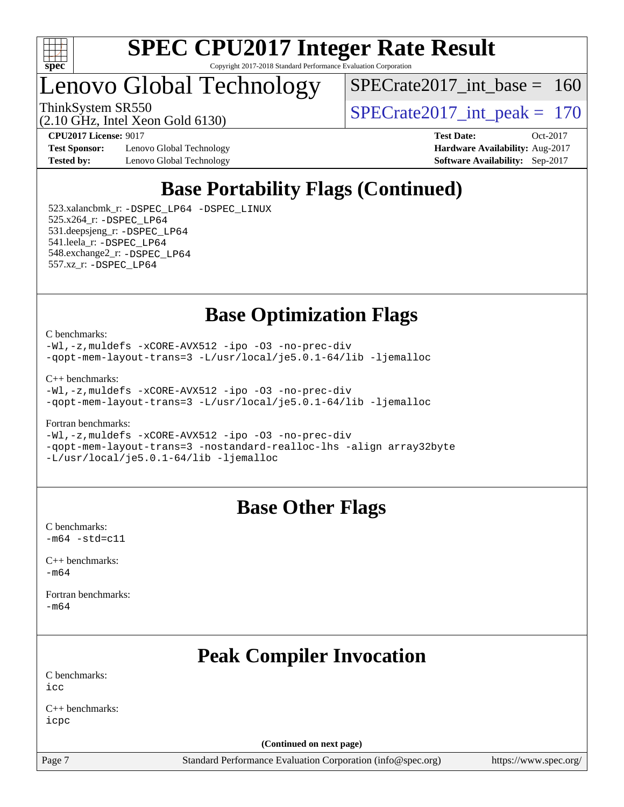

### Lenovo Global Technology

[SPECrate2017\\_int\\_base =](http://www.spec.org/auto/cpu2017/Docs/result-fields.html#SPECrate2017intbase) 160

(2.10 GHz, Intel Xeon Gold 6130)

**[Test Sponsor:](http://www.spec.org/auto/cpu2017/Docs/result-fields.html#TestSponsor)** Lenovo Global Technology **[Hardware Availability:](http://www.spec.org/auto/cpu2017/Docs/result-fields.html#HardwareAvailability)** Aug-2017

ThinkSystem SR550<br>  $\frac{170 \text{ GHz}}{210 \text{ GHz}}$  Intel Year Gald 6130)

**[CPU2017 License:](http://www.spec.org/auto/cpu2017/Docs/result-fields.html#CPU2017License)** 9017 **[Test Date:](http://www.spec.org/auto/cpu2017/Docs/result-fields.html#TestDate)** Oct-2017 **[Tested by:](http://www.spec.org/auto/cpu2017/Docs/result-fields.html#Testedby)** Lenovo Global Technology **[Software Availability:](http://www.spec.org/auto/cpu2017/Docs/result-fields.html#SoftwareAvailability)** Sep-2017

### **[Base Portability Flags \(Continued\)](http://www.spec.org/auto/cpu2017/Docs/result-fields.html#BasePortabilityFlags)**

 523.xalancbmk\_r: [-DSPEC\\_LP64](http://www.spec.org/cpu2017/results/res2017q4/cpu2017-20171128-01317.flags.html#suite_basePORTABILITY523_xalancbmk_r_DSPEC_LP64) [-DSPEC\\_LINUX](http://www.spec.org/cpu2017/results/res2017q4/cpu2017-20171128-01317.flags.html#b523.xalancbmk_r_baseCXXPORTABILITY_DSPEC_LINUX) 525.x264\_r: [-DSPEC\\_LP64](http://www.spec.org/cpu2017/results/res2017q4/cpu2017-20171128-01317.flags.html#suite_basePORTABILITY525_x264_r_DSPEC_LP64) 531.deepsjeng\_r: [-DSPEC\\_LP64](http://www.spec.org/cpu2017/results/res2017q4/cpu2017-20171128-01317.flags.html#suite_basePORTABILITY531_deepsjeng_r_DSPEC_LP64) 541.leela\_r: [-DSPEC\\_LP64](http://www.spec.org/cpu2017/results/res2017q4/cpu2017-20171128-01317.flags.html#suite_basePORTABILITY541_leela_r_DSPEC_LP64) 548.exchange2\_r: [-DSPEC\\_LP64](http://www.spec.org/cpu2017/results/res2017q4/cpu2017-20171128-01317.flags.html#suite_basePORTABILITY548_exchange2_r_DSPEC_LP64) 557.xz\_r: [-DSPEC\\_LP64](http://www.spec.org/cpu2017/results/res2017q4/cpu2017-20171128-01317.flags.html#suite_basePORTABILITY557_xz_r_DSPEC_LP64)

**[Base Optimization Flags](http://www.spec.org/auto/cpu2017/Docs/result-fields.html#BaseOptimizationFlags)**

[C benchmarks](http://www.spec.org/auto/cpu2017/Docs/result-fields.html#Cbenchmarks):

[-Wl,-z,muldefs](http://www.spec.org/cpu2017/results/res2017q4/cpu2017-20171128-01317.flags.html#user_CCbase_link_force_multiple1_b4cbdb97b34bdee9ceefcfe54f4c8ea74255f0b02a4b23e853cdb0e18eb4525ac79b5a88067c842dd0ee6996c24547a27a4b99331201badda8798ef8a743f577) [-xCORE-AVX512](http://www.spec.org/cpu2017/results/res2017q4/cpu2017-20171128-01317.flags.html#user_CCbase_f-xCORE-AVX512) [-ipo](http://www.spec.org/cpu2017/results/res2017q4/cpu2017-20171128-01317.flags.html#user_CCbase_f-ipo) [-O3](http://www.spec.org/cpu2017/results/res2017q4/cpu2017-20171128-01317.flags.html#user_CCbase_f-O3) [-no-prec-div](http://www.spec.org/cpu2017/results/res2017q4/cpu2017-20171128-01317.flags.html#user_CCbase_f-no-prec-div) [-qopt-mem-layout-trans=3](http://www.spec.org/cpu2017/results/res2017q4/cpu2017-20171128-01317.flags.html#user_CCbase_f-qopt-mem-layout-trans_de80db37974c74b1f0e20d883f0b675c88c3b01e9d123adea9b28688d64333345fb62bc4a798493513fdb68f60282f9a726aa07f478b2f7113531aecce732043) [-L/usr/local/je5.0.1-64/lib](http://www.spec.org/cpu2017/results/res2017q4/cpu2017-20171128-01317.flags.html#user_CCbase_jemalloc_link_path64_4b10a636b7bce113509b17f3bd0d6226c5fb2346b9178c2d0232c14f04ab830f976640479e5c33dc2bcbbdad86ecfb6634cbbd4418746f06f368b512fced5394) [-ljemalloc](http://www.spec.org/cpu2017/results/res2017q4/cpu2017-20171128-01317.flags.html#user_CCbase_jemalloc_link_lib_d1249b907c500fa1c0672f44f562e3d0f79738ae9e3c4a9c376d49f265a04b9c99b167ecedbf6711b3085be911c67ff61f150a17b3472be731631ba4d0471706)

[C++ benchmarks:](http://www.spec.org/auto/cpu2017/Docs/result-fields.html#CXXbenchmarks)

[-Wl,-z,muldefs](http://www.spec.org/cpu2017/results/res2017q4/cpu2017-20171128-01317.flags.html#user_CXXbase_link_force_multiple1_b4cbdb97b34bdee9ceefcfe54f4c8ea74255f0b02a4b23e853cdb0e18eb4525ac79b5a88067c842dd0ee6996c24547a27a4b99331201badda8798ef8a743f577) [-xCORE-AVX512](http://www.spec.org/cpu2017/results/res2017q4/cpu2017-20171128-01317.flags.html#user_CXXbase_f-xCORE-AVX512) [-ipo](http://www.spec.org/cpu2017/results/res2017q4/cpu2017-20171128-01317.flags.html#user_CXXbase_f-ipo) [-O3](http://www.spec.org/cpu2017/results/res2017q4/cpu2017-20171128-01317.flags.html#user_CXXbase_f-O3) [-no-prec-div](http://www.spec.org/cpu2017/results/res2017q4/cpu2017-20171128-01317.flags.html#user_CXXbase_f-no-prec-div) [-qopt-mem-layout-trans=3](http://www.spec.org/cpu2017/results/res2017q4/cpu2017-20171128-01317.flags.html#user_CXXbase_f-qopt-mem-layout-trans_de80db37974c74b1f0e20d883f0b675c88c3b01e9d123adea9b28688d64333345fb62bc4a798493513fdb68f60282f9a726aa07f478b2f7113531aecce732043) [-L/usr/local/je5.0.1-64/lib](http://www.spec.org/cpu2017/results/res2017q4/cpu2017-20171128-01317.flags.html#user_CXXbase_jemalloc_link_path64_4b10a636b7bce113509b17f3bd0d6226c5fb2346b9178c2d0232c14f04ab830f976640479e5c33dc2bcbbdad86ecfb6634cbbd4418746f06f368b512fced5394) [-ljemalloc](http://www.spec.org/cpu2017/results/res2017q4/cpu2017-20171128-01317.flags.html#user_CXXbase_jemalloc_link_lib_d1249b907c500fa1c0672f44f562e3d0f79738ae9e3c4a9c376d49f265a04b9c99b167ecedbf6711b3085be911c67ff61f150a17b3472be731631ba4d0471706)

[Fortran benchmarks](http://www.spec.org/auto/cpu2017/Docs/result-fields.html#Fortranbenchmarks):

[-Wl,-z,muldefs](http://www.spec.org/cpu2017/results/res2017q4/cpu2017-20171128-01317.flags.html#user_FCbase_link_force_multiple1_b4cbdb97b34bdee9ceefcfe54f4c8ea74255f0b02a4b23e853cdb0e18eb4525ac79b5a88067c842dd0ee6996c24547a27a4b99331201badda8798ef8a743f577) [-xCORE-AVX512](http://www.spec.org/cpu2017/results/res2017q4/cpu2017-20171128-01317.flags.html#user_FCbase_f-xCORE-AVX512) [-ipo](http://www.spec.org/cpu2017/results/res2017q4/cpu2017-20171128-01317.flags.html#user_FCbase_f-ipo) [-O3](http://www.spec.org/cpu2017/results/res2017q4/cpu2017-20171128-01317.flags.html#user_FCbase_f-O3) [-no-prec-div](http://www.spec.org/cpu2017/results/res2017q4/cpu2017-20171128-01317.flags.html#user_FCbase_f-no-prec-div) [-qopt-mem-layout-trans=3](http://www.spec.org/cpu2017/results/res2017q4/cpu2017-20171128-01317.flags.html#user_FCbase_f-qopt-mem-layout-trans_de80db37974c74b1f0e20d883f0b675c88c3b01e9d123adea9b28688d64333345fb62bc4a798493513fdb68f60282f9a726aa07f478b2f7113531aecce732043) [-nostandard-realloc-lhs](http://www.spec.org/cpu2017/results/res2017q4/cpu2017-20171128-01317.flags.html#user_FCbase_f_2003_std_realloc_82b4557e90729c0f113870c07e44d33d6f5a304b4f63d4c15d2d0f1fab99f5daaed73bdb9275d9ae411527f28b936061aa8b9c8f2d63842963b95c9dd6426b8a) [-align array32byte](http://www.spec.org/cpu2017/results/res2017q4/cpu2017-20171128-01317.flags.html#user_FCbase_align_array32byte_b982fe038af199962ba9a80c053b8342c548c85b40b8e86eb3cc33dee0d7986a4af373ac2d51c3f7cf710a18d62fdce2948f201cd044323541f22fc0fffc51b6) [-L/usr/local/je5.0.1-64/lib](http://www.spec.org/cpu2017/results/res2017q4/cpu2017-20171128-01317.flags.html#user_FCbase_jemalloc_link_path64_4b10a636b7bce113509b17f3bd0d6226c5fb2346b9178c2d0232c14f04ab830f976640479e5c33dc2bcbbdad86ecfb6634cbbd4418746f06f368b512fced5394) [-ljemalloc](http://www.spec.org/cpu2017/results/res2017q4/cpu2017-20171128-01317.flags.html#user_FCbase_jemalloc_link_lib_d1249b907c500fa1c0672f44f562e3d0f79738ae9e3c4a9c376d49f265a04b9c99b167ecedbf6711b3085be911c67ff61f150a17b3472be731631ba4d0471706)

### **[Base Other Flags](http://www.spec.org/auto/cpu2017/Docs/result-fields.html#BaseOtherFlags)**

[C benchmarks](http://www.spec.org/auto/cpu2017/Docs/result-fields.html#Cbenchmarks):  $-m64 - std= c11$  $-m64 - std= c11$ 

[C++ benchmarks:](http://www.spec.org/auto/cpu2017/Docs/result-fields.html#CXXbenchmarks) [-m64](http://www.spec.org/cpu2017/results/res2017q4/cpu2017-20171128-01317.flags.html#user_CXXbase_intel_intel64_18.0_af43caccfc8ded86e7699f2159af6efc7655f51387b94da716254467f3c01020a5059329e2569e4053f409e7c9202a7efc638f7a6d1ffb3f52dea4a3e31d82ab)

[Fortran benchmarks](http://www.spec.org/auto/cpu2017/Docs/result-fields.html#Fortranbenchmarks): [-m64](http://www.spec.org/cpu2017/results/res2017q4/cpu2017-20171128-01317.flags.html#user_FCbase_intel_intel64_18.0_af43caccfc8ded86e7699f2159af6efc7655f51387b94da716254467f3c01020a5059329e2569e4053f409e7c9202a7efc638f7a6d1ffb3f52dea4a3e31d82ab)

### **[Peak Compiler Invocation](http://www.spec.org/auto/cpu2017/Docs/result-fields.html#PeakCompilerInvocation)**

[C benchmarks](http://www.spec.org/auto/cpu2017/Docs/result-fields.html#Cbenchmarks):  $i$ cc

[C++ benchmarks:](http://www.spec.org/auto/cpu2017/Docs/result-fields.html#CXXbenchmarks) [icpc](http://www.spec.org/cpu2017/results/res2017q4/cpu2017-20171128-01317.flags.html#user_CXXpeak_intel_icpc_18.0_c510b6838c7f56d33e37e94d029a35b4a7bccf4766a728ee175e80a419847e808290a9b78be685c44ab727ea267ec2f070ec5dc83b407c0218cded6866a35d07)

**(Continued on next page)**

Page 7 Standard Performance Evaluation Corporation [\(info@spec.org\)](mailto:info@spec.org) <https://www.spec.org/>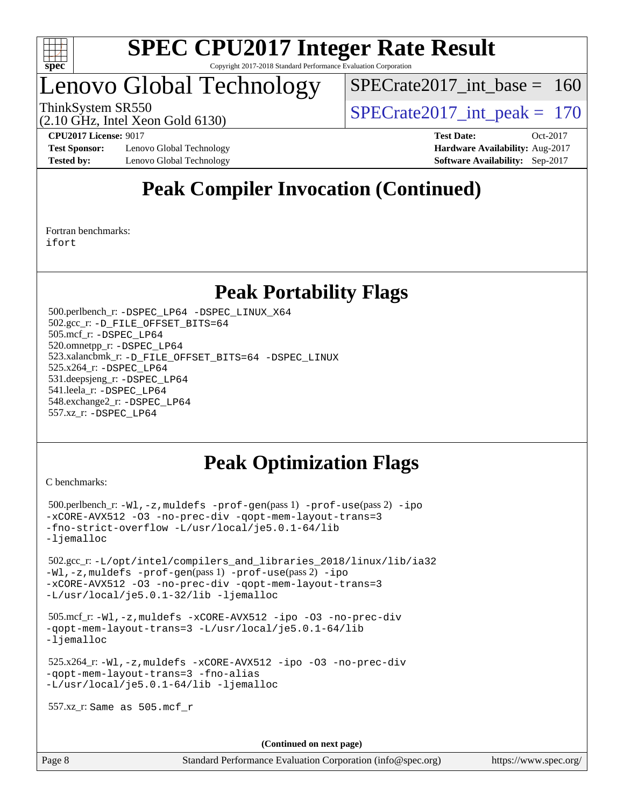

### Lenovo Global Technology

 $SPECrate2017\_int\_base = 160$ 

(2.10 GHz, Intel Xeon Gold 6130)

ThinkSystem SR550<br>  $\langle 2.10 \text{ GHz}$  Intel Year Gold 6130)

**[Test Sponsor:](http://www.spec.org/auto/cpu2017/Docs/result-fields.html#TestSponsor)** Lenovo Global Technology **[Hardware Availability:](http://www.spec.org/auto/cpu2017/Docs/result-fields.html#HardwareAvailability)** Aug-2017 **[Tested by:](http://www.spec.org/auto/cpu2017/Docs/result-fields.html#Testedby)** Lenovo Global Technology **[Software Availability:](http://www.spec.org/auto/cpu2017/Docs/result-fields.html#SoftwareAvailability)** Sep-2017

**[CPU2017 License:](http://www.spec.org/auto/cpu2017/Docs/result-fields.html#CPU2017License)** 9017 **[Test Date:](http://www.spec.org/auto/cpu2017/Docs/result-fields.html#TestDate)** Oct-2017

### **[Peak Compiler Invocation \(Continued\)](http://www.spec.org/auto/cpu2017/Docs/result-fields.html#PeakCompilerInvocation)**

[Fortran benchmarks](http://www.spec.org/auto/cpu2017/Docs/result-fields.html#Fortranbenchmarks): [ifort](http://www.spec.org/cpu2017/results/res2017q4/cpu2017-20171128-01317.flags.html#user_FCpeak_intel_ifort_18.0_8111460550e3ca792625aed983ce982f94888b8b503583aa7ba2b8303487b4d8a21a13e7191a45c5fd58ff318f48f9492884d4413fa793fd88dd292cad7027ca)

### **[Peak Portability Flags](http://www.spec.org/auto/cpu2017/Docs/result-fields.html#PeakPortabilityFlags)**

 500.perlbench\_r: [-DSPEC\\_LP64](http://www.spec.org/cpu2017/results/res2017q4/cpu2017-20171128-01317.flags.html#b500.perlbench_r_peakPORTABILITY_DSPEC_LP64) [-DSPEC\\_LINUX\\_X64](http://www.spec.org/cpu2017/results/res2017q4/cpu2017-20171128-01317.flags.html#b500.perlbench_r_peakCPORTABILITY_DSPEC_LINUX_X64) 502.gcc\_r: [-D\\_FILE\\_OFFSET\\_BITS=64](http://www.spec.org/cpu2017/results/res2017q4/cpu2017-20171128-01317.flags.html#user_peakPORTABILITY502_gcc_r_file_offset_bits_64_5ae949a99b284ddf4e95728d47cb0843d81b2eb0e18bdfe74bbf0f61d0b064f4bda2f10ea5eb90e1dcab0e84dbc592acfc5018bc955c18609f94ddb8d550002c) 505.mcf\_r: [-DSPEC\\_LP64](http://www.spec.org/cpu2017/results/res2017q4/cpu2017-20171128-01317.flags.html#suite_peakPORTABILITY505_mcf_r_DSPEC_LP64) 520.omnetpp\_r: [-DSPEC\\_LP64](http://www.spec.org/cpu2017/results/res2017q4/cpu2017-20171128-01317.flags.html#suite_peakPORTABILITY520_omnetpp_r_DSPEC_LP64) 523.xalancbmk\_r: [-D\\_FILE\\_OFFSET\\_BITS=64](http://www.spec.org/cpu2017/results/res2017q4/cpu2017-20171128-01317.flags.html#user_peakPORTABILITY523_xalancbmk_r_file_offset_bits_64_5ae949a99b284ddf4e95728d47cb0843d81b2eb0e18bdfe74bbf0f61d0b064f4bda2f10ea5eb90e1dcab0e84dbc592acfc5018bc955c18609f94ddb8d550002c) [-DSPEC\\_LINUX](http://www.spec.org/cpu2017/results/res2017q4/cpu2017-20171128-01317.flags.html#b523.xalancbmk_r_peakCXXPORTABILITY_DSPEC_LINUX) 525.x264\_r: [-DSPEC\\_LP64](http://www.spec.org/cpu2017/results/res2017q4/cpu2017-20171128-01317.flags.html#suite_peakPORTABILITY525_x264_r_DSPEC_LP64) 531.deepsjeng\_r: [-DSPEC\\_LP64](http://www.spec.org/cpu2017/results/res2017q4/cpu2017-20171128-01317.flags.html#suite_peakPORTABILITY531_deepsjeng_r_DSPEC_LP64) 541.leela\_r: [-DSPEC\\_LP64](http://www.spec.org/cpu2017/results/res2017q4/cpu2017-20171128-01317.flags.html#suite_peakPORTABILITY541_leela_r_DSPEC_LP64) 548.exchange2\_r: [-DSPEC\\_LP64](http://www.spec.org/cpu2017/results/res2017q4/cpu2017-20171128-01317.flags.html#suite_peakPORTABILITY548_exchange2_r_DSPEC_LP64) 557.xz\_r: [-DSPEC\\_LP64](http://www.spec.org/cpu2017/results/res2017q4/cpu2017-20171128-01317.flags.html#suite_peakPORTABILITY557_xz_r_DSPEC_LP64)

### **[Peak Optimization Flags](http://www.spec.org/auto/cpu2017/Docs/result-fields.html#PeakOptimizationFlags)**

[C benchmarks](http://www.spec.org/auto/cpu2017/Docs/result-fields.html#Cbenchmarks):

```
 500.perlbench_r: -Wl,-z,muldefs -prof-gen(pass 1) -prof-use(pass 2) -ipo
-xCORE-AVX512 -O3 -no-prec-div -qopt-mem-layout-trans=3
-fno-strict-overflow -L/usr/local/je5.0.1-64/lib
-ljemalloc
 502.gcc_r: -L/opt/intel/compilers_and_libraries_2018/linux/lib/ia32
-Wl,-z,muldefs -prof-gen(pass 1) -prof-use(pass 2) -ipo
-xCORE-AVX512 -O3 -no-prec-div -qopt-mem-layout-trans=3
-L/usr/local/je5.0.1-32/lib -ljemalloc
 505.mcf_r: -Wl,-z,muldefs -xCORE-AVX512 -ipo -O3 -no-prec-div
-qopt-mem-layout-trans=3 -L/usr/local/je5.0.1-64/lib
-ljemalloc
 525.x264_r: -Wl,-z,muldefs -xCORE-AVX512 -ipo -O3 -no-prec-div
-qopt-mem-layout-trans=3 -fno-alias
-L/usr/local/je5.0.1-64/lib -ljemalloc
 557.xz_r: Same as 505.mcf_r
```
**(Continued on next page)**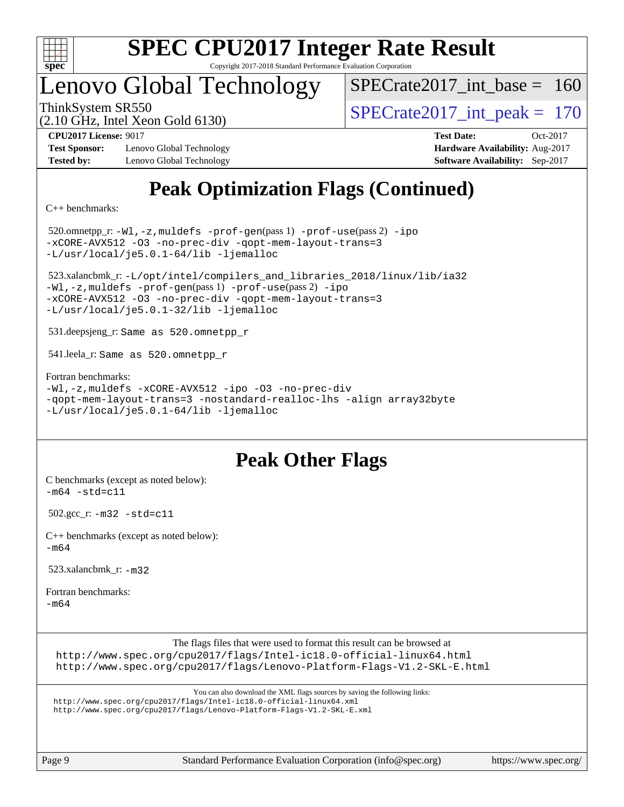

# **[SPEC CPU2017 Integer Rate Result](http://www.spec.org/auto/cpu2017/Docs/result-fields.html#SPECCPU2017IntegerRateResult)**

Copyright 2017-2018 Standard Performance Evaluation Corporation

### Lenovo Global Technology

 $SPECrate2017\_int\_base = 160$ 

(2.10 GHz, Intel Xeon Gold 6130)

ThinkSystem SR550<br>  $\angle Q$  10 GHz, Intel Year Gold 6130

**[Test Sponsor:](http://www.spec.org/auto/cpu2017/Docs/result-fields.html#TestSponsor)** Lenovo Global Technology **[Hardware Availability:](http://www.spec.org/auto/cpu2017/Docs/result-fields.html#HardwareAvailability)** Aug-2017 **[Tested by:](http://www.spec.org/auto/cpu2017/Docs/result-fields.html#Testedby)** Lenovo Global Technology **[Software Availability:](http://www.spec.org/auto/cpu2017/Docs/result-fields.html#SoftwareAvailability)** Sep-2017

**[CPU2017 License:](http://www.spec.org/auto/cpu2017/Docs/result-fields.html#CPU2017License)** 9017 **[Test Date:](http://www.spec.org/auto/cpu2017/Docs/result-fields.html#TestDate)** Oct-2017

### **[Peak Optimization Flags \(Continued\)](http://www.spec.org/auto/cpu2017/Docs/result-fields.html#PeakOptimizationFlags)**

[C++ benchmarks:](http://www.spec.org/auto/cpu2017/Docs/result-fields.html#CXXbenchmarks)

 520.omnetpp\_r: [-Wl,-z,muldefs](http://www.spec.org/cpu2017/results/res2017q4/cpu2017-20171128-01317.flags.html#user_peakEXTRA_LDFLAGS520_omnetpp_r_link_force_multiple1_b4cbdb97b34bdee9ceefcfe54f4c8ea74255f0b02a4b23e853cdb0e18eb4525ac79b5a88067c842dd0ee6996c24547a27a4b99331201badda8798ef8a743f577) [-prof-gen](http://www.spec.org/cpu2017/results/res2017q4/cpu2017-20171128-01317.flags.html#user_peakPASS1_CXXFLAGSPASS1_LDFLAGS520_omnetpp_r_prof_gen_5aa4926d6013ddb2a31985c654b3eb18169fc0c6952a63635c234f711e6e63dd76e94ad52365559451ec499a2cdb89e4dc58ba4c67ef54ca681ffbe1461d6b36)(pass 1) [-prof-use](http://www.spec.org/cpu2017/results/res2017q4/cpu2017-20171128-01317.flags.html#user_peakPASS2_CXXFLAGSPASS2_LDFLAGS520_omnetpp_r_prof_use_1a21ceae95f36a2b53c25747139a6c16ca95bd9def2a207b4f0849963b97e94f5260e30a0c64f4bb623698870e679ca08317ef8150905d41bd88c6f78df73f19)(pass 2) [-ipo](http://www.spec.org/cpu2017/results/res2017q4/cpu2017-20171128-01317.flags.html#user_peakPASS1_CXXOPTIMIZEPASS2_CXXOPTIMIZE520_omnetpp_r_f-ipo) [-xCORE-AVX512](http://www.spec.org/cpu2017/results/res2017q4/cpu2017-20171128-01317.flags.html#user_peakPASS2_CXXOPTIMIZE520_omnetpp_r_f-xCORE-AVX512) [-O3](http://www.spec.org/cpu2017/results/res2017q4/cpu2017-20171128-01317.flags.html#user_peakPASS1_CXXOPTIMIZEPASS2_CXXOPTIMIZE520_omnetpp_r_f-O3) [-no-prec-div](http://www.spec.org/cpu2017/results/res2017q4/cpu2017-20171128-01317.flags.html#user_peakPASS1_CXXOPTIMIZEPASS2_CXXOPTIMIZE520_omnetpp_r_f-no-prec-div) [-qopt-mem-layout-trans=3](http://www.spec.org/cpu2017/results/res2017q4/cpu2017-20171128-01317.flags.html#user_peakPASS1_CXXOPTIMIZEPASS2_CXXOPTIMIZE520_omnetpp_r_f-qopt-mem-layout-trans_de80db37974c74b1f0e20d883f0b675c88c3b01e9d123adea9b28688d64333345fb62bc4a798493513fdb68f60282f9a726aa07f478b2f7113531aecce732043) [-L/usr/local/je5.0.1-64/lib](http://www.spec.org/cpu2017/results/res2017q4/cpu2017-20171128-01317.flags.html#user_peakEXTRA_LIBS520_omnetpp_r_jemalloc_link_path64_4b10a636b7bce113509b17f3bd0d6226c5fb2346b9178c2d0232c14f04ab830f976640479e5c33dc2bcbbdad86ecfb6634cbbd4418746f06f368b512fced5394) [-ljemalloc](http://www.spec.org/cpu2017/results/res2017q4/cpu2017-20171128-01317.flags.html#user_peakEXTRA_LIBS520_omnetpp_r_jemalloc_link_lib_d1249b907c500fa1c0672f44f562e3d0f79738ae9e3c4a9c376d49f265a04b9c99b167ecedbf6711b3085be911c67ff61f150a17b3472be731631ba4d0471706)

 523.xalancbmk\_r: [-L/opt/intel/compilers\\_and\\_libraries\\_2018/linux/lib/ia32](http://www.spec.org/cpu2017/results/res2017q4/cpu2017-20171128-01317.flags.html#user_peakCXXLD523_xalancbmk_r_Enable-32bit-runtime_af243bdb1d79e4c7a4f720bf8275e627de2ecd461de63307bc14cef0633fde3cd7bb2facb32dcc8be9566045fb55d40ce2b72b725f73827aa7833441b71b9343) [-Wl,-z,muldefs](http://www.spec.org/cpu2017/results/res2017q4/cpu2017-20171128-01317.flags.html#user_peakEXTRA_LDFLAGS523_xalancbmk_r_link_force_multiple1_b4cbdb97b34bdee9ceefcfe54f4c8ea74255f0b02a4b23e853cdb0e18eb4525ac79b5a88067c842dd0ee6996c24547a27a4b99331201badda8798ef8a743f577) [-prof-gen](http://www.spec.org/cpu2017/results/res2017q4/cpu2017-20171128-01317.flags.html#user_peakPASS1_CXXFLAGSPASS1_LDFLAGS523_xalancbmk_r_prof_gen_5aa4926d6013ddb2a31985c654b3eb18169fc0c6952a63635c234f711e6e63dd76e94ad52365559451ec499a2cdb89e4dc58ba4c67ef54ca681ffbe1461d6b36)(pass 1) [-prof-use](http://www.spec.org/cpu2017/results/res2017q4/cpu2017-20171128-01317.flags.html#user_peakPASS2_CXXFLAGSPASS2_LDFLAGS523_xalancbmk_r_prof_use_1a21ceae95f36a2b53c25747139a6c16ca95bd9def2a207b4f0849963b97e94f5260e30a0c64f4bb623698870e679ca08317ef8150905d41bd88c6f78df73f19)(pass 2) [-ipo](http://www.spec.org/cpu2017/results/res2017q4/cpu2017-20171128-01317.flags.html#user_peakPASS1_CXXOPTIMIZEPASS2_CXXOPTIMIZE523_xalancbmk_r_f-ipo) [-xCORE-AVX512](http://www.spec.org/cpu2017/results/res2017q4/cpu2017-20171128-01317.flags.html#user_peakPASS2_CXXOPTIMIZE523_xalancbmk_r_f-xCORE-AVX512) [-O3](http://www.spec.org/cpu2017/results/res2017q4/cpu2017-20171128-01317.flags.html#user_peakPASS1_CXXOPTIMIZEPASS2_CXXOPTIMIZE523_xalancbmk_r_f-O3) [-no-prec-div](http://www.spec.org/cpu2017/results/res2017q4/cpu2017-20171128-01317.flags.html#user_peakPASS1_CXXOPTIMIZEPASS2_CXXOPTIMIZE523_xalancbmk_r_f-no-prec-div) [-qopt-mem-layout-trans=3](http://www.spec.org/cpu2017/results/res2017q4/cpu2017-20171128-01317.flags.html#user_peakPASS1_CXXOPTIMIZEPASS2_CXXOPTIMIZE523_xalancbmk_r_f-qopt-mem-layout-trans_de80db37974c74b1f0e20d883f0b675c88c3b01e9d123adea9b28688d64333345fb62bc4a798493513fdb68f60282f9a726aa07f478b2f7113531aecce732043) [-L/usr/local/je5.0.1-32/lib](http://www.spec.org/cpu2017/results/res2017q4/cpu2017-20171128-01317.flags.html#user_peakEXTRA_LIBS523_xalancbmk_r_jemalloc_link_path32_e29f22e8e6c17053bbc6a0971f5a9c01a601a06bb1a59df2084b77a2fe0a2995b64fd4256feaeea39eeba3aae142e96e2b2b0a28974019c0c0c88139a84f900a) [-ljemalloc](http://www.spec.org/cpu2017/results/res2017q4/cpu2017-20171128-01317.flags.html#user_peakEXTRA_LIBS523_xalancbmk_r_jemalloc_link_lib_d1249b907c500fa1c0672f44f562e3d0f79738ae9e3c4a9c376d49f265a04b9c99b167ecedbf6711b3085be911c67ff61f150a17b3472be731631ba4d0471706)

531.deepsjeng\_r: Same as 520.omnetpp\_r

541.leela\_r: Same as 520.omnetpp\_r

[Fortran benchmarks](http://www.spec.org/auto/cpu2017/Docs/result-fields.html#Fortranbenchmarks):

```
-Wl,-z,muldefs -xCORE-AVX512 -ipo -O3 -no-prec-div
-qopt-mem-layout-trans=3 -nostandard-realloc-lhs -align array32byte
-L/usr/local/je5.0.1-64/lib -ljemalloc
```
### **[Peak Other Flags](http://www.spec.org/auto/cpu2017/Docs/result-fields.html#PeakOtherFlags)**

[C benchmarks \(except as noted below\)](http://www.spec.org/auto/cpu2017/Docs/result-fields.html#Cbenchmarksexceptasnotedbelow):  $-m64 - std= c11$  $-m64 - std= c11$ 

502.gcc\_r: [-m32](http://www.spec.org/cpu2017/results/res2017q4/cpu2017-20171128-01317.flags.html#user_peakCCLD502_gcc_r_intel_ia32_18.0_2666f1173eb60787016b673bfe1358e27016ef7649ea4884b7bc6187fd89dc221d14632e22638cde1c647a518de97358ab15d4ad098ee4e19a8b28d0c25e14bf) [-std=c11](http://www.spec.org/cpu2017/results/res2017q4/cpu2017-20171128-01317.flags.html#user_peakCCLD502_gcc_r_intel_compiler_c11_mode_0e1c27790398a4642dfca32ffe6c27b5796f9c2d2676156f2e42c9c44eaad0c049b1cdb667a270c34d979996257aeb8fc440bfb01818dbc9357bd9d174cb8524)

[C++ benchmarks \(except as noted below\):](http://www.spec.org/auto/cpu2017/Docs/result-fields.html#CXXbenchmarksexceptasnotedbelow) [-m64](http://www.spec.org/cpu2017/results/res2017q4/cpu2017-20171128-01317.flags.html#user_CXXpeak_intel_intel64_18.0_af43caccfc8ded86e7699f2159af6efc7655f51387b94da716254467f3c01020a5059329e2569e4053f409e7c9202a7efc638f7a6d1ffb3f52dea4a3e31d82ab)

523.xalancbmk\_r: [-m32](http://www.spec.org/cpu2017/results/res2017q4/cpu2017-20171128-01317.flags.html#user_peakCXXLD523_xalancbmk_r_intel_ia32_18.0_2666f1173eb60787016b673bfe1358e27016ef7649ea4884b7bc6187fd89dc221d14632e22638cde1c647a518de97358ab15d4ad098ee4e19a8b28d0c25e14bf)

[Fortran benchmarks](http://www.spec.org/auto/cpu2017/Docs/result-fields.html#Fortranbenchmarks): [-m64](http://www.spec.org/cpu2017/results/res2017q4/cpu2017-20171128-01317.flags.html#user_FCpeak_intel_intel64_18.0_af43caccfc8ded86e7699f2159af6efc7655f51387b94da716254467f3c01020a5059329e2569e4053f409e7c9202a7efc638f7a6d1ffb3f52dea4a3e31d82ab)

The flags files that were used to format this result can be browsed at

<http://www.spec.org/cpu2017/flags/Intel-ic18.0-official-linux64.html> <http://www.spec.org/cpu2017/flags/Lenovo-Platform-Flags-V1.2-SKL-E.html>

You can also download the XML flags sources by saving the following links:

<http://www.spec.org/cpu2017/flags/Intel-ic18.0-official-linux64.xml> <http://www.spec.org/cpu2017/flags/Lenovo-Platform-Flags-V1.2-SKL-E.xml>